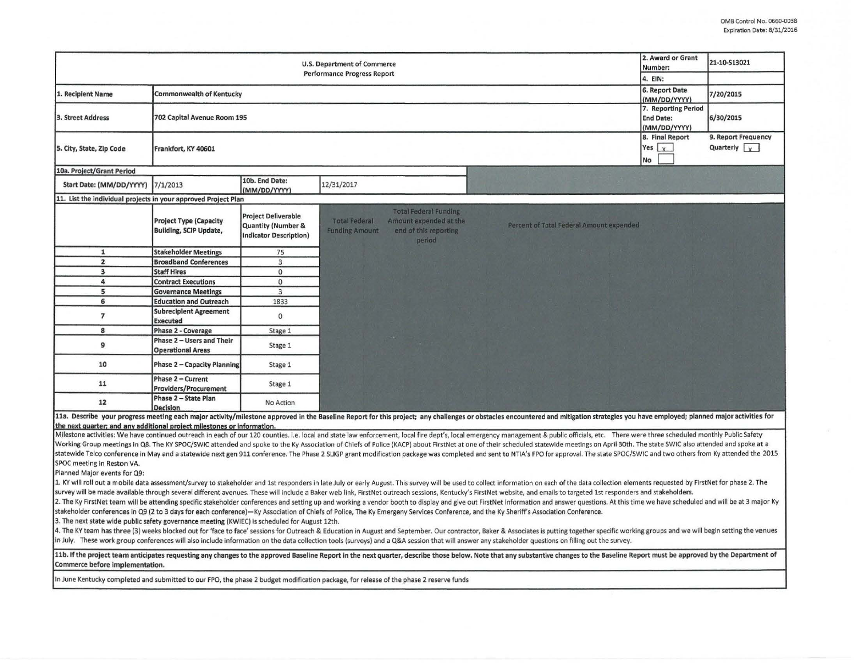| 2. Award or Grant<br>U.S. Department of Commerce<br><b>Performance Progress Report</b>                                                                                                                                         |                                                                |                                                                                              |                                                                                                                                                                                                                                                                                                                                                                                                                                     |                                                         | 21-10-S13021                                |  |  |
|--------------------------------------------------------------------------------------------------------------------------------------------------------------------------------------------------------------------------------|----------------------------------------------------------------|----------------------------------------------------------------------------------------------|-------------------------------------------------------------------------------------------------------------------------------------------------------------------------------------------------------------------------------------------------------------------------------------------------------------------------------------------------------------------------------------------------------------------------------------|---------------------------------------------------------|---------------------------------------------|--|--|
|                                                                                                                                                                                                                                | 4. EIN:                                                        |                                                                                              |                                                                                                                                                                                                                                                                                                                                                                                                                                     |                                                         |                                             |  |  |
| 1. Recipient Name                                                                                                                                                                                                              | <b>Commonwealth of Kentucky</b>                                |                                                                                              |                                                                                                                                                                                                                                                                                                                                                                                                                                     | 6. Report Date<br>(MM/DD/YYYY)                          | 7/20/2015                                   |  |  |
| 3. Street Address                                                                                                                                                                                                              | 702 Capital Avenue Room 195                                    |                                                                                              |                                                                                                                                                                                                                                                                                                                                                                                                                                     | 7. Reporting Period<br><b>End Date:</b><br>(MM/DD/YYYY) | 6/30/2015                                   |  |  |
| 5. City, State, Zip Code                                                                                                                                                                                                       | Frankfort, KY 40601                                            |                                                                                              |                                                                                                                                                                                                                                                                                                                                                                                                                                     | 8. Final Report<br>Yes $x$<br>No                        | 9. Report Frequency<br>Quarterly $\sqrt{x}$ |  |  |
| 10a. Project/Grant Period                                                                                                                                                                                                      |                                                                |                                                                                              |                                                                                                                                                                                                                                                                                                                                                                                                                                     |                                                         |                                             |  |  |
| Start Date: (MM/DD/YYYY)                                                                                                                                                                                                       | 7/1/2013                                                       | 10b. End Date:<br>(MM/DD/YYYY)                                                               | 12/31/2017                                                                                                                                                                                                                                                                                                                                                                                                                          |                                                         |                                             |  |  |
| 11. List the individual projects in your approved Project Plan                                                                                                                                                                 |                                                                |                                                                                              |                                                                                                                                                                                                                                                                                                                                                                                                                                     |                                                         |                                             |  |  |
|                                                                                                                                                                                                                                | <b>Project Type (Capacity</b><br><b>Building, SCIP Update,</b> | <b>Project Deliverable</b><br><b>Quantity (Number &amp;</b><br><b>Indicator Description)</b> | <b>Total Federal Funding</b><br><b>Total Federal</b><br>Amount expended at the<br>Percent of Total Federal Amount expended<br>end of this reporting<br><b>Funding Amount</b><br>period                                                                                                                                                                                                                                              |                                                         |                                             |  |  |
| $\mathbf{1}$                                                                                                                                                                                                                   | <b>Stakeholder Meetings</b>                                    | 75                                                                                           |                                                                                                                                                                                                                                                                                                                                                                                                                                     |                                                         |                                             |  |  |
| $\overline{\mathbf{z}}$                                                                                                                                                                                                        | <b>Broadband Conferences</b>                                   | $\mathbf{3}$                                                                                 |                                                                                                                                                                                                                                                                                                                                                                                                                                     |                                                         |                                             |  |  |
| 3                                                                                                                                                                                                                              | <b>Staff Hires</b>                                             | $\mathbf 0$                                                                                  |                                                                                                                                                                                                                                                                                                                                                                                                                                     |                                                         |                                             |  |  |
| 4                                                                                                                                                                                                                              | <b>Contract Executions</b>                                     | $\mathsf{o}$                                                                                 |                                                                                                                                                                                                                                                                                                                                                                                                                                     |                                                         |                                             |  |  |
| 5                                                                                                                                                                                                                              | <b>Governance Meetings</b>                                     | $\overline{3}$                                                                               |                                                                                                                                                                                                                                                                                                                                                                                                                                     |                                                         |                                             |  |  |
| 6                                                                                                                                                                                                                              | <b>Education and Outreach</b>                                  | 1833                                                                                         |                                                                                                                                                                                                                                                                                                                                                                                                                                     |                                                         |                                             |  |  |
| $\overline{ }$                                                                                                                                                                                                                 | <b>Subrecipient Agreement</b><br><b>Executed</b>               | $\mathbf{0}$                                                                                 |                                                                                                                                                                                                                                                                                                                                                                                                                                     |                                                         |                                             |  |  |
| 8                                                                                                                                                                                                                              | <b>Phase 2 - Coverage</b>                                      | Stage 1                                                                                      |                                                                                                                                                                                                                                                                                                                                                                                                                                     |                                                         |                                             |  |  |
| 9                                                                                                                                                                                                                              | Phase 2 - Users and Their<br><b>Operational Areas</b>          | Stage 1                                                                                      |                                                                                                                                                                                                                                                                                                                                                                                                                                     |                                                         |                                             |  |  |
| 10                                                                                                                                                                                                                             | <b>Phase 2 - Capacity Planning</b>                             | Stage 1                                                                                      |                                                                                                                                                                                                                                                                                                                                                                                                                                     |                                                         |                                             |  |  |
| 11                                                                                                                                                                                                                             | Phase 2 - Current<br><b>Providers/Procurement</b>              | Stage 1                                                                                      |                                                                                                                                                                                                                                                                                                                                                                                                                                     |                                                         |                                             |  |  |
| 12                                                                                                                                                                                                                             | Phase 2 - State Plan<br>Decision                               | No Action                                                                                    |                                                                                                                                                                                                                                                                                                                                                                                                                                     |                                                         |                                             |  |  |
|                                                                                                                                                                                                                                |                                                                |                                                                                              | 11a. Describe your progress meeting each major activity/milestone approved in the Baseline Report for this project; any challenges or obstacles encountered and mitigation strategies you have employed; planned major activit                                                                                                                                                                                                      |                                                         |                                             |  |  |
| the next quarter; and any additional project milestones or information.                                                                                                                                                        |                                                                |                                                                                              | Milestone activities: We have continued outreach in each of our 120 counties. i.e. local and state law enforcement, local fire dept's, local emergency management & public officials, etc. There were three scheduled monthly                                                                                                                                                                                                       |                                                         |                                             |  |  |
|                                                                                                                                                                                                                                |                                                                |                                                                                              | Working Group meetings in Q8. The KY SPOC/SWIC attended and spoke to the Ky Association of Chiefs of Police (KACP) about FirstNet at one of their scheduled statewide meetings on April 30th. The state SWIC also attended and                                                                                                                                                                                                      |                                                         |                                             |  |  |
|                                                                                                                                                                                                                                |                                                                |                                                                                              | statewide Telco conference in May and a statewide next gen 911 conference. The Phase 2 SLIGP grant modification package was completed and sent to NTIA's FPO for approval. The state SPOC/SWIC and two others from Ky attended                                                                                                                                                                                                      |                                                         |                                             |  |  |
| SPOC meeting in Reston VA.                                                                                                                                                                                                     |                                                                |                                                                                              |                                                                                                                                                                                                                                                                                                                                                                                                                                     |                                                         |                                             |  |  |
| Planned Major events for Q9:                                                                                                                                                                                                   |                                                                |                                                                                              |                                                                                                                                                                                                                                                                                                                                                                                                                                     |                                                         |                                             |  |  |
|                                                                                                                                                                                                                                |                                                                |                                                                                              | 1. KY will roll out a mobile data assessment/survey to stakeholder and 1st responders in late July or early August. This survey will be used to collect information on each of the data collection elements requested by First                                                                                                                                                                                                      |                                                         |                                             |  |  |
| survey will be made available through several different avenues. These will include a Baker web link, FirstNet outreach sessions, Kentucky's FirstNet website, and emails to targeted 1st responders and stakeholders.         |                                                                |                                                                                              |                                                                                                                                                                                                                                                                                                                                                                                                                                     |                                                         |                                             |  |  |
| 2. The Ky FirstNet team will be attending specific stakeholder conferences and setting up and working a vendor booth to display and give out FirstNet information and answer questions. At this time we have scheduled and wil |                                                                |                                                                                              |                                                                                                                                                                                                                                                                                                                                                                                                                                     |                                                         |                                             |  |  |
|                                                                                                                                                                                                                                |                                                                |                                                                                              | stakeholder conferences in Q9 (2 to 3 days for each conference)—Ky Association of Chiefs of Police, The Ky Emergeny Services Conference, and the Ky Sheriff's Association Conference.                                                                                                                                                                                                                                               |                                                         |                                             |  |  |
| 3. The next state wide public safety governance meeting (KWIEC) is scheduled for August 12th.                                                                                                                                  |                                                                |                                                                                              |                                                                                                                                                                                                                                                                                                                                                                                                                                     |                                                         |                                             |  |  |
|                                                                                                                                                                                                                                |                                                                |                                                                                              | 4. The KY team has three (3) weeks blocked out for 'face to face' sessions for Outreach & Education in August and September. Our contractor, Baker & Associates is putting together specific working groups and we will begin<br>in July. These work group conferences will also include information on the data collection tools (surveys) and a Q&A session that will answer any stakeholder questions on filling out the survey. |                                                         |                                             |  |  |

11b. If the project team anticipates requesting any changes to the approved Baseline Report in the next quarter, describe those below. Note that any substantive changes to the Baseline Report must be approved by the Depart Commerce before implementation.

In June Kentucky completed and submitted to our FPO, the phase 2 budget modification package, for release of the phase 2 reserve funds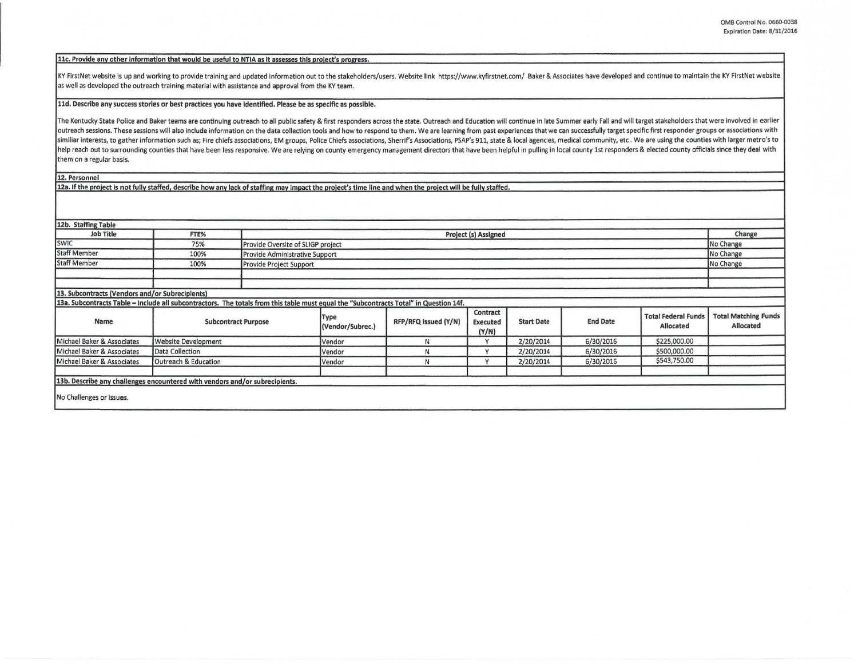## 11c. Provide any other information that would be useful to NTIA as it assesses this project's progress.

KY FirstNet website is up and working to provide training and updated information out to the stakeholders/users. Website link https://www.kyfirstnet.com/ Baker & Associates have developed and continue to maintain the KY Fi as well as developed the outreach training material with assistance and approval from the KY team.

## lld. Describe any success stories or best practices you have Identified. Please be as specific as possible.

The Kentucky State Police and Baker teams are continuing outreach to all public safety & first responders across the state. Outreach and Education will continue in late Summer early Fall and will target stakeholders that w outreach sessions. These sessions will also include information on the data collection tools and how to respond to them. We are learning from past experiences that we can successfully target specific first responder groups similiar interests, to gather information such as; Fire chiefs associations, EM groups, Police Chiefs associations, Sherrif's Associations, PSAP's 911, state & local agencies, medical community, etc. We are using the count help reach out to surrounding counties that have been less responsive. We are relying on county emergency management directors that have been helpful in pulling in local county 1st responders & elected county officials sin them on a regular basis.

12. Personnel

12a. If the project is not fully staffed, describe how any lack of staffing may impact the project's time line and when the project will be fully staffed.

| 12b. Staffing Table                                                                                                                   |                            |  |                                                |                      |                                      |                   |                 |                                         |                                                 |
|---------------------------------------------------------------------------------------------------------------------------------------|----------------------------|--|------------------------------------------------|----------------------|--------------------------------------|-------------------|-----------------|-----------------------------------------|-------------------------------------------------|
| <b>Job Title</b>                                                                                                                      | FTE%                       |  | Project (s) Assigned                           |                      |                                      |                   |                 |                                         |                                                 |
| <b>SWIC</b>                                                                                                                           | 75%                        |  | No Change<br>Provide Oversite of SLIGP project |                      |                                      |                   |                 |                                         |                                                 |
| <b>Staff Member</b>                                                                                                                   | 100%                       |  | No Change<br>Provide Administrative Support    |                      |                                      |                   |                 |                                         |                                                 |
| <b>Staff Member</b>                                                                                                                   | 100%                       |  | No Change<br>Provide Project Support           |                      |                                      |                   |                 |                                         |                                                 |
|                                                                                                                                       |                            |  |                                                |                      |                                      |                   |                 |                                         |                                                 |
| 13. Subcontracts (Vendors and/or Subrecipients)                                                                                       |                            |  |                                                |                      |                                      |                   |                 |                                         |                                                 |
| 13a. Subcontracts Table - Include all subcontractors. The totals from this table must equal the "Subcontracts Total" in Question 14f. |                            |  |                                                |                      |                                      |                   |                 |                                         |                                                 |
| Name                                                                                                                                  | <b>Subcontract Purpose</b> |  | Type<br>(Vendor/Subrec.)                       | RFP/RFQ Issued (Y/N) | Contract<br><b>Executed</b><br>(Y/N) | <b>Start Date</b> | <b>End Date</b> | <b>Total Federal Funds</b><br>Allocated | <b>Total Matching Funds</b><br><b>Allocated</b> |
| Michael Baker & Associates                                                                                                            | <b>Website Development</b> |  | Vendor                                         | N                    |                                      | 2/20/2014         | 6/30/2016       | \$225,000.00                            |                                                 |
| Michael Baker & Associates                                                                                                            | Data Collection            |  | Vendor                                         | N                    | $\checkmark$                         | 2/20/2014         | 6/30/2016       | \$500,000.00                            |                                                 |
| Michael Baker & Associates                                                                                                            | Outreach & Education       |  | Vendor                                         | $\mathbf N$          | $\overline{u}$                       | 2/20/2014         | 6/30/2016       | \$543,750.00                            |                                                 |
| 13b. Describe any challenges encountered with vendors and/or subrecipients.                                                           |                            |  |                                                |                      |                                      |                   |                 |                                         |                                                 |
| No Challenges or issues.                                                                                                              |                            |  |                                                |                      |                                      |                   |                 |                                         |                                                 |